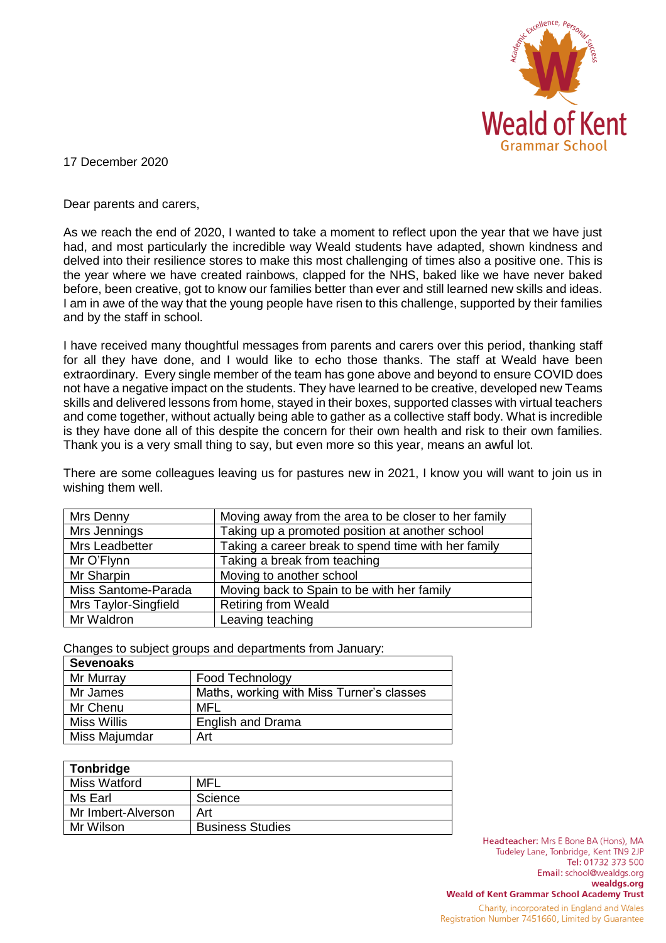

17 December 2020

Dear parents and carers,

As we reach the end of 2020, I wanted to take a moment to reflect upon the year that we have just had, and most particularly the incredible way Weald students have adapted, shown kindness and delved into their resilience stores to make this most challenging of times also a positive one. This is the year where we have created rainbows, clapped for the NHS, baked like we have never baked before, been creative, got to know our families better than ever and still learned new skills and ideas. I am in awe of the way that the young people have risen to this challenge, supported by their families and by the staff in school.

I have received many thoughtful messages from parents and carers over this period, thanking staff for all they have done, and I would like to echo those thanks. The staff at Weald have been extraordinary. Every single member of the team has gone above and beyond to ensure COVID does not have a negative impact on the students. They have learned to be creative, developed new Teams skills and delivered lessons from home, stayed in their boxes, supported classes with virtual teachers and come together, without actually being able to gather as a collective staff body. What is incredible is they have done all of this despite the concern for their own health and risk to their own families. Thank you is a very small thing to say, but even more so this year, means an awful lot.

There are some colleagues leaving us for pastures new in 2021, I know you will want to join us in wishing them well.

| Mrs Denny            | Moving away from the area to be closer to her family |
|----------------------|------------------------------------------------------|
| Mrs Jennings         | Taking up a promoted position at another school      |
| Mrs Leadbetter       | Taking a career break to spend time with her family  |
| Mr O'Flynn           | Taking a break from teaching                         |
| Mr Sharpin           | Moving to another school                             |
| Miss Santome-Parada  | Moving back to Spain to be with her family           |
| Mrs Taylor-Singfield | <b>Retiring from Weald</b>                           |
| Mr Waldron           | Leaving teaching                                     |

Changes to subject groups and departments from January:

| <b>Sevenoaks</b>   |                                           |
|--------------------|-------------------------------------------|
| Mr Murray          | Food Technology                           |
| Mr James           | Maths, working with Miss Turner's classes |
| Mr Chenu           | MFL                                       |
| <b>Miss Willis</b> | <b>English and Drama</b>                  |
| Miss Majumdar      | Art                                       |

| Tonbridge           |                         |
|---------------------|-------------------------|
| <b>Miss Watford</b> | MFL                     |
| Ms Earl             | Science                 |
| Mr Imbert-Alverson  | Art                     |
| Mr Wilson           | <b>Business Studies</b> |

Headteacher: Mrs E Bone BA (Hons), MA Tudeley Lane, Tonbridge, Kent TN9 2JP Tel: 01732 373 500 Email: school@wealdgs.org wealdgs.org **Weald of Kent Grammar School Academy Trust** 

Charity, incorporated in England and Wales Registration Number 7451660, Limited by Guarantee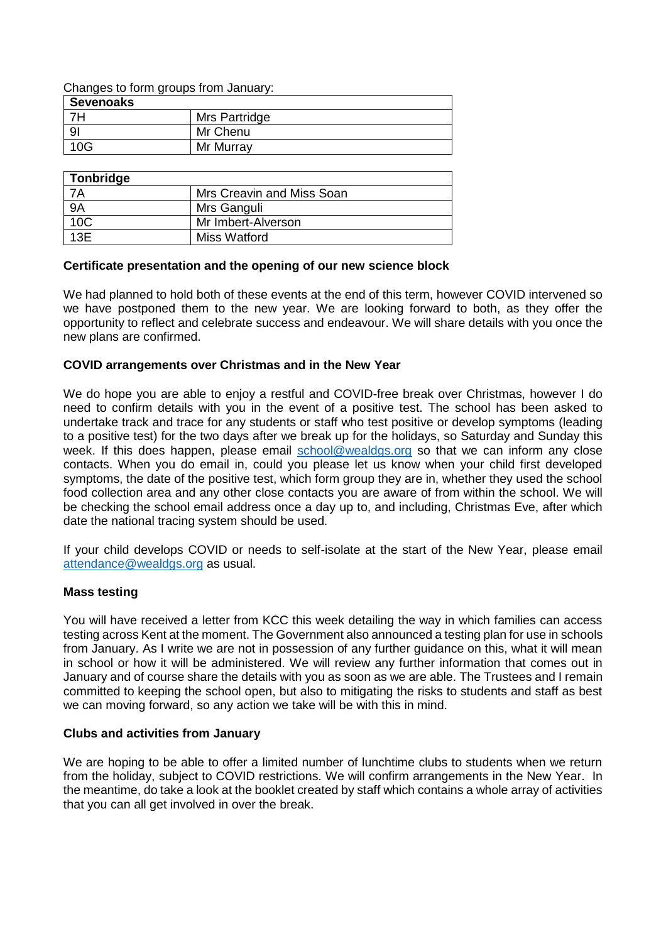Changes to form groups from January:

| <b>Sevenoaks</b> |               |
|------------------|---------------|
| 7H               | Mrs Partridge |
| 9 <sub>l</sub>   | Mr Chenu      |
| 10G              | Mr Murray     |

| Tonbridge       |                           |
|-----------------|---------------------------|
|                 | Mrs Creavin and Miss Soan |
| <b>9A</b>       | Mrs Ganguli               |
| 10 <sup>C</sup> | Mr Imbert-Alverson        |
| 13E             | Miss Watford              |

### **Certificate presentation and the opening of our new science block**

We had planned to hold both of these events at the end of this term, however COVID intervened so we have postponed them to the new year. We are looking forward to both, as they offer the opportunity to reflect and celebrate success and endeavour. We will share details with you once the new plans are confirmed.

## **COVID arrangements over Christmas and in the New Year**

We do hope you are able to enjoy a restful and COVID-free break over Christmas, however I do need to confirm details with you in the event of a positive test. The school has been asked to undertake track and trace for any students or staff who test positive or develop symptoms (leading to a positive test) for the two days after we break up for the holidays, so Saturday and Sunday this week. If this does happen, please email [school@wealdgs.org](mailto:school@wealdgs.org) so that we can inform any close contacts. When you do email in, could you please let us know when your child first developed symptoms, the date of the positive test, which form group they are in, whether they used the school food collection area and any other close contacts you are aware of from within the school. We will be checking the school email address once a day up to, and including, Christmas Eve, after which date the national tracing system should be used.

If your child develops COVID or needs to self-isolate at the start of the New Year, please email [attendance@wealdgs.org](mailto:attendance@wealdgs.org) as usual.

## **Mass testing**

You will have received a letter from KCC this week detailing the way in which families can access testing across Kent at the moment. The Government also announced a testing plan for use in schools from January. As I write we are not in possession of any further guidance on this, what it will mean in school or how it will be administered. We will review any further information that comes out in January and of course share the details with you as soon as we are able. The Trustees and I remain committed to keeping the school open, but also to mitigating the risks to students and staff as best we can moving forward, so any action we take will be with this in mind.

## **Clubs and activities from January**

We are hoping to be able to offer a limited number of lunchtime clubs to students when we return from the holiday, subject to COVID restrictions. We will confirm arrangements in the New Year. In the meantime, do take a look at the booklet created by staff which contains a whole array of activities that you can all get involved in over the break.